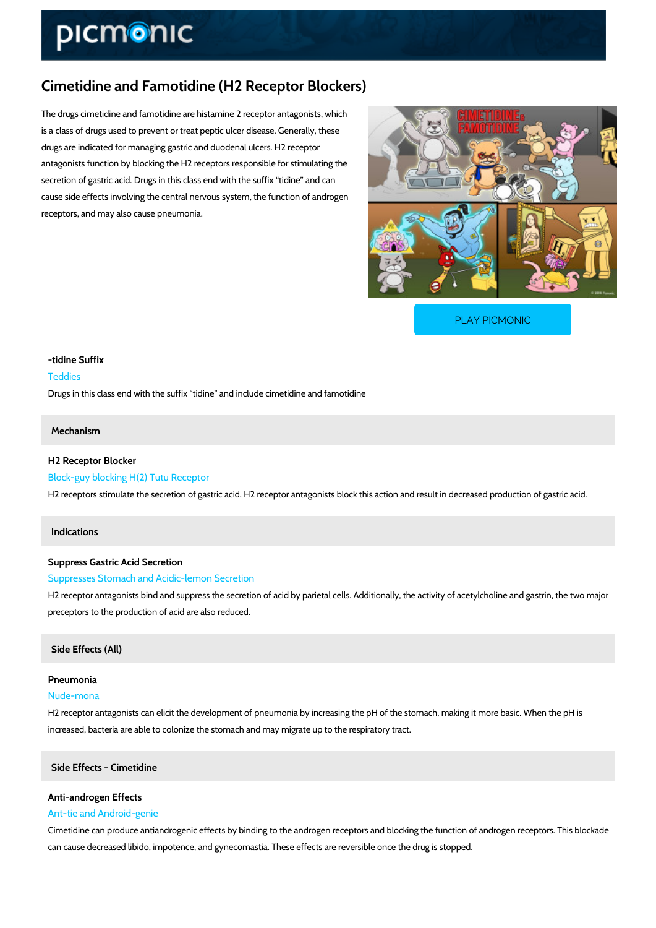# Cimetidine and Famotidine (H2 Receptor Blockers)

The drugs cimetidine and famotidine are histamine 2 receptor antagonists, which is a class of drugs used to prevent or treat peptic ulcer disease. Generally, these drugs are indicated for managing gastric and duodenal ulcers. H2 receptor antagonists function by blocking the H2 receptors responsible for stimulating the secretion of gastric acid. Drugs in this class end with the suffix tidine and can cause side effects involving the central nervous system, the function of androgen receptors, and may also cause pneumonia.

[PLAY PICMONIC](https://www.picmonic.com/learn/cimetidine-and-famotidine-h2-receptor-blockers_11252?utm_source=downloadable_content&utm_medium=distributedcontent&utm_campaign=pathways_pdf&utm_content=Cimetidine and Famotidine (H2 Receptor Blockers)&utm_ad_group=leads&utm_market=all)

## -tidine Suffix Teddies Drugs in this class end with the suffix tidine and include cimetidine and famotidine

## Mechanism

H2 Receptor Blocker Block-guy blocking H(2) Tutu Receptor H2 receptors stimulate the secretion of gastric acid. H2 receptor antagonists block this action

#### Indications

Suppress Gastric Acid Secretion Suppresses Stomach and Acidic-lemon Secretion H2 receptor antagonists bind and suppress the secretion of acid by parietal cells. Additionally preceptors to the production of acid are also reduced.

#### Side Effects (All)

Pneumonia Nude-mona

H2 receptor antagonists can elicit the development of pneumonia by increasing the pH of the stomach increased, bacteria are able to colonize the stomach and may migrate up to the respiratory tra

Side Effects - Cimetidine

## Anti-androgen Effects Ant-tie and Android-genie

Cimetidine can produce antiandrogenic effects by binding to the androgen receptors and block can cause decreased libido, impotence, and gynecomastia. These effects are reversible once